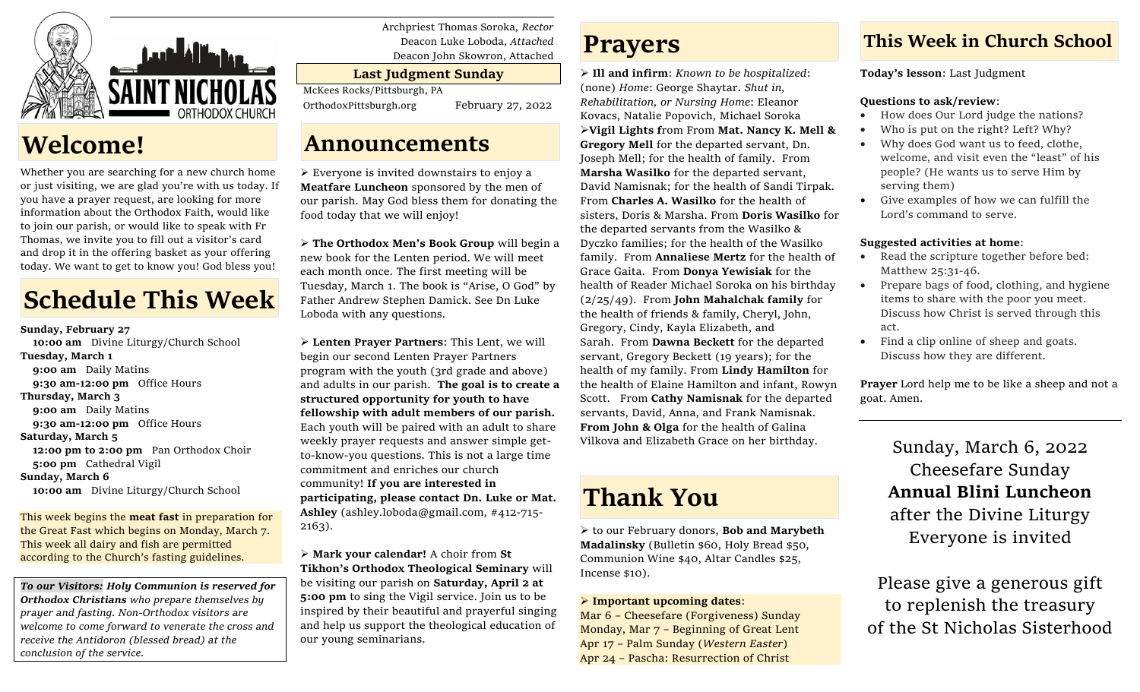

# **Welcome!**

Whether you are searching for a new church home or just visiting, we are glad you're with us today. If you have a prayer request, are looking for more information about the Orthodox Faith, would like to join our parish, or would like to speak with Fr Thomas, we invite you to fill out a visitor's card and drop it in the offering basket as your offering today. We want to get to know you! God bless you!

# **Schedule This Week**

**Sunday, February 27 10:00 am** Divine Liturgy/Church School **Tuesday, March 1** **9:00 am** Daily Matins **9:30 am-12:00 pm** Office Hours **Thursday, March 3** 9:00 am Daily Matins **9:30 am-12:00 pm** Office Hours **Saturday, March 5 12:00 pm to 2:00 pm** Pan Orthodox Choir **5:00 pm** Cathedral Vigil **Sunday, March 6 10:00 am** Divine Liturgy/Church School

This week begins the **meat fast** in preparation for the Great Fast which begins on Monday, March 7. This week all dairy and fish are permitted according to the Church's fasting guidelines.

*To our Visitors: Holy Communion is reserved for Orthodox Christians who prepare themselves by prayer and fasting. Non-Orthodox visitors are welcome to come forward to venerate the cross and receive the Antidoron (blessed bread) at the conclusion of the service.*

Archpriest Thomas Soroka, *Rector* Deacon Luke Loboda, *Attached* Deacon John Skowron, Attached

### **Last Judgment Sunday**

McKees Rocks/Pittsburgh, PA

OrthodoxPittsburgh.org February 27, 2022

### **Announcements**

➢ Everyone is invited downstairs to enjoy a **Meatfare Luncheon** sponsored by the men of our parish. May God bless them for donating the food today that we will enjoy!

➢ **The Orthodox Men's Book Group** will begin a new book for the Lenten period. We will meet each month once. The first meeting will be Tuesday, March 1. The book is "Arise, O God" by Father Andrew Stephen Damick. See Dn Luke Loboda with any questions.

➢ **Lenten Prayer Partners**: This Lent, we will begin our second Lenten Prayer Partners program with the youth (3rd grade and above) and adults in our parish. **The goal is to create a structured opportunity for youth to have fellowship with adult members of our parish.** Each youth will be paired with an adult to share weekly prayer requests and answer simple getto-know-you questions. This is not a large time commitment and enriches our church community! **If you are interested in participating, please contact Dn. Luke or Mat. Ashley** (ashley.loboda@gmail.com, #412-715- 2163).

➢ **Mark your calendar!** A choir from **St Tikhon's Orthodox Theological Seminary** will be visiting our parish on **Saturday, April 2 at 5:00 pm** to sing the Vigil service. Join us to be inspired by their beautiful and prayerful singing and help us support the theological education of our young seminarians.

## **Prayers**

➢ **Ill and infirm**: *Known to be hospitalized*: (none) *Home*: George Shaytar. *Shut in, Rehabilitation, or Nursing Home*: Eleanor Kovacs, Natalie Popovich, Michael Soroka ➢**Vigil Lights f**rom From **Mat. Nancy K. Mell & Gregory Mell** for the departed servant, Dn. Joseph Mell; for the health of family. From **Marsha Wasilko** for the departed servant, David Namisnak; for the health of Sandi Tirpak. From **Charles A. Wasilko** for the health of sisters, Doris & Marsha. From **Doris Wasilko** for the departed servants from the Wasilko & Dyczko families; for the health of the Wasilko family. From **Annaliese Mertz** for the health of Grace Gaita. From **Donya Yewisiak** for the health of Reader Michael Soroka on his birthday (2/25/49). From **John Mahalchak family** for the health of friends & family, Cheryl, John, Gregory, Cindy, Kayla Elizabeth, and Sarah. From **Dawna Beckett** for the departed servant, Gregory Beckett (19 years); for the health of my family. From **Lindy Hamilton** for the health of Elaine Hamilton and infant, Rowyn Scott. From **Cathy Namisnak** for the departed servants, David, Anna, and Frank Namisnak. **From John & Olga** for the health of Galina Vilkova and Elizabeth Grace on her birthday.

# **Thank You**

➢ to our February donors, **Bob and Marybeth Madalinsky** (Bulletin \$60, Holy Bread \$50, Communion Wine \$40, Altar Candles \$25, Incense \$10).

### ➢ **Important upcoming dates**:

Mar 6 – Cheesefare (Forgiveness) Sunday Monday, Mar 7 – Beginning of Great Lent Apr 17 – Palm Sunday (*Western Easter*) Apr 24 – Pascha: Resurrection of Christ

### **This Week in Church School**

**Today's lesson**: Last Judgment

### **Questions to ask/review**:

- How does Our Lord judge the nations?
- Who is put on the right? Left? Why?
- Why does God want us to feed, clothe, welcome, and visit even the "least" of his people? (He wants us to serve Him by serving them)
- Give examples of how we can fulfill the Lord's command to serve.

### **Suggested activities at home**:

- Read the scripture together before bed: Matthew 25:31-46.
- Prepare bags of food, clothing, and hygiene items to share with the poor you meet. Discuss how Christ is served through this act.
- Find a clip online of sheep and goats. Discuss how they are different.

**Prayer** Lord help me to be like a sheep and not a goat. Amen.

> Sunday, March 6, 2022 Cheesefare Sunday **Annual Blini Luncheon** after the Divine Liturgy Everyone is invited

Please give a generous gift to replenish the treasury of the St Nicholas Sisterhood